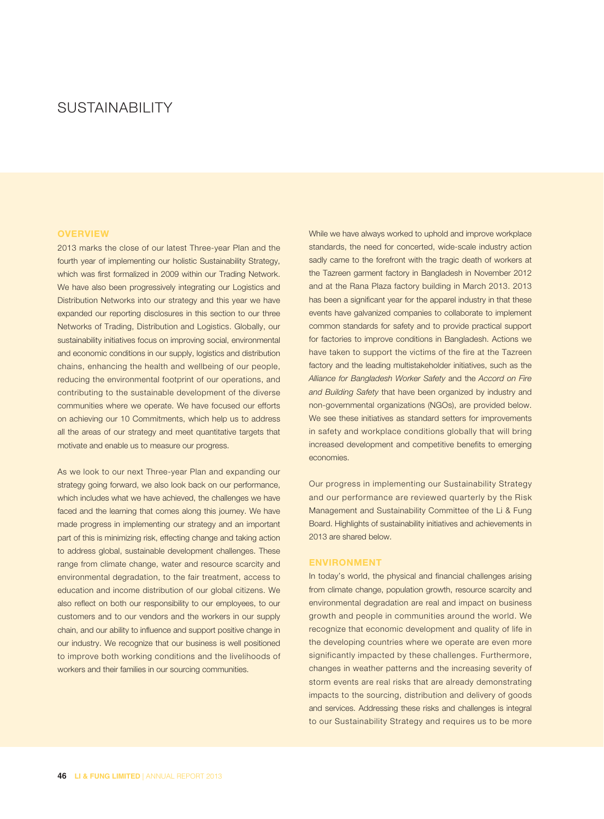# SUSTAINABILITY

## **OVERVIEW**

2013 marks the close of our latest Three-year Plan and the fourth year of implementing our holistic Sustainability Strategy, which was first formalized in 2009 within our Trading Network. We have also been progressively integrating our Logistics and Distribution Networks into our strategy and this year we have expanded our reporting disclosures in this section to our three Networks of Trading, Distribution and Logistics. Globally, our sustainability initiatives focus on improving social, environmental and economic conditions in our supply, logistics and distribution chains, enhancing the health and wellbeing of our people, reducing the environmental footprint of our operations, and contributing to the sustainable development of the diverse communities where we operate. We have focused our efforts on achieving our 10 Commitments, which help us to address all the areas of our strategy and meet quantitative targets that motivate and enable us to measure our progress.

As we look to our next Three-year Plan and expanding our strategy going forward, we also look back on our performance, which includes what we have achieved, the challenges we have faced and the learning that comes along this journey. We have made progress in implementing our strategy and an important part of this is minimizing risk, effecting change and taking action to address global, sustainable development challenges. These range from climate change, water and resource scarcity and environmental degradation, to the fair treatment, access to education and income distribution of our global citizens. We also reflect on both our responsibility to our employees, to our customers and to our vendors and the workers in our supply chain, and our ability to influence and support positive change in our industry. We recognize that our business is well positioned to improve both working conditions and the livelihoods of workers and their families in our sourcing communities.

While we have always worked to uphold and improve workplace standards, the need for concerted, wide-scale industry action sadly came to the forefront with the tragic death of workers at the Tazreen garment factory in Bangladesh in November 2012 and at the Rana Plaza factory building in March 2013. 2013 has been a significant year for the apparel industry in that these events have galvanized companies to collaborate to implement common standards for safety and to provide practical support for factories to improve conditions in Bangladesh. Actions we have taken to support the victims of the fire at the Tazreen factory and the leading multistakeholder initiatives, such as the Alliance for Bangladesh Worker Safety and the Accord on Fire and Building Safety that have been organized by industry and non-governmental organizations (NGOs), are provided below. We see these initiatives as standard setters for improvements in safety and workplace conditions globally that will bring increased development and competitive benefits to emerging economies.

Our progress in implementing our Sustainability Strategy and our performance are reviewed quarterly by the Risk Management and Sustainability Committee of the Li & Fung Board. Highlights of sustainability initiatives and achievements in 2013 are shared below.

## **ENVIRONMENT**

In today's world, the physical and financial challenges arising from climate change, population growth, resource scarcity and environmental degradation are real and impact on business growth and people in communities around the world. We recognize that economic development and quality of life in the developing countries where we operate are even more significantly impacted by these challenges. Furthermore, changes in weather patterns and the increasing severity of storm events are real risks that are already demonstrating impacts to the sourcing, distribution and delivery of goods and services. Addressing these risks and challenges is integral to our Sustainability Strategy and requires us to be more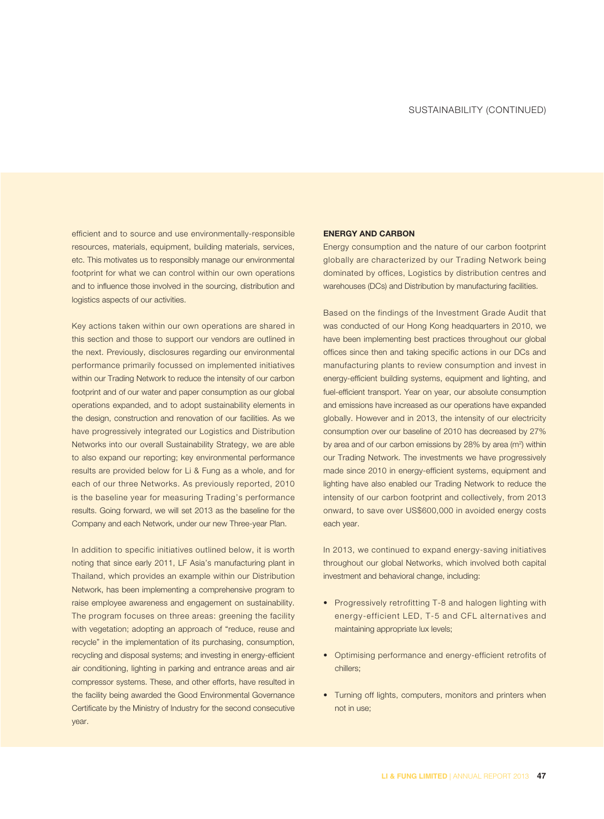efficient and to source and use environmentally-responsible resources, materials, equipment, building materials, services, etc. This motivates us to responsibly manage our environmental footprint for what we can control within our own operations and to influence those involved in the sourcing, distribution and logistics aspects of our activities.

Key actions taken within our own operations are shared in this section and those to support our vendors are outlined in the next. Previously, disclosures regarding our environmental performance primarily focussed on implemented initiatives within our Trading Network to reduce the intensity of our carbon footprint and of our water and paper consumption as our global operations expanded, and to adopt sustainability elements in the design, construction and renovation of our facilities. As we have progressively integrated our Logistics and Distribution Networks into our overall Sustainability Strategy, we are able to also expand our reporting; key environmental performance results are provided below for Li & Fung as a whole, and for each of our three Networks. As previously reported, 2010 is the baseline year for measuring Trading's performance results. Going forward, we will set 2013 as the baseline for the Company and each Network, under our new Three-year Plan.

In addition to specific initiatives outlined below, it is worth noting that since early 2011, LF Asia's manufacturing plant in Thailand, which provides an example within our Distribution Network, has been implementing a comprehensive program to raise employee awareness and engagement on sustainability. The program focuses on three areas: greening the facility with vegetation; adopting an approach of "reduce, reuse and recycle" in the implementation of its purchasing, consumption, recycling and disposal systems; and investing in energy-efficient air conditioning, lighting in parking and entrance areas and air compressor systems. These, and other efforts, have resulted in the facility being awarded the Good Environmental Governance Certificate by the Ministry of Industry for the second consecutive year.

## **ENERGY AND CARBON**

Energy consumption and the nature of our carbon footprint globally are characterized by our Trading Network being dominated by offices, Logistics by distribution centres and warehouses (DCs) and Distribution by manufacturing facilities.

Based on the findings of the Investment Grade Audit that was conducted of our Hong Kong headquarters in 2010, we have been implementing best practices throughout our global offices since then and taking specific actions in our DCs and manufacturing plants to review consumption and invest in energy-efficient building systems, equipment and lighting, and fuel-efficient transport. Year on year, our absolute consumption and emissions have increased as our operations have expanded globally. However and in 2013, the intensity of our electricity consumption over our baseline of 2010 has decreased by 27% by area and of our carbon emissions by 28% by area  $(m^2)$  within our Trading Network. The investments we have progressively made since 2010 in energy-efficient systems, equipment and lighting have also enabled our Trading Network to reduce the intensity of our carbon footprint and collectively, from 2013 onward, to save over US\$600,000 in avoided energy costs each year.

In 2013, we continued to expand energy-saving initiatives throughout our global Networks, which involved both capital investment and behavioral change, including:

- Progressively retrofitting T-8 and halogen lighting with energy-efficient LED, T-5 and CFL alternatives and maintaining appropriate lux levels;
- Optimising performance and energy-efficient retrofits of chillers;
- Turning off lights, computers, monitors and printers when not in use;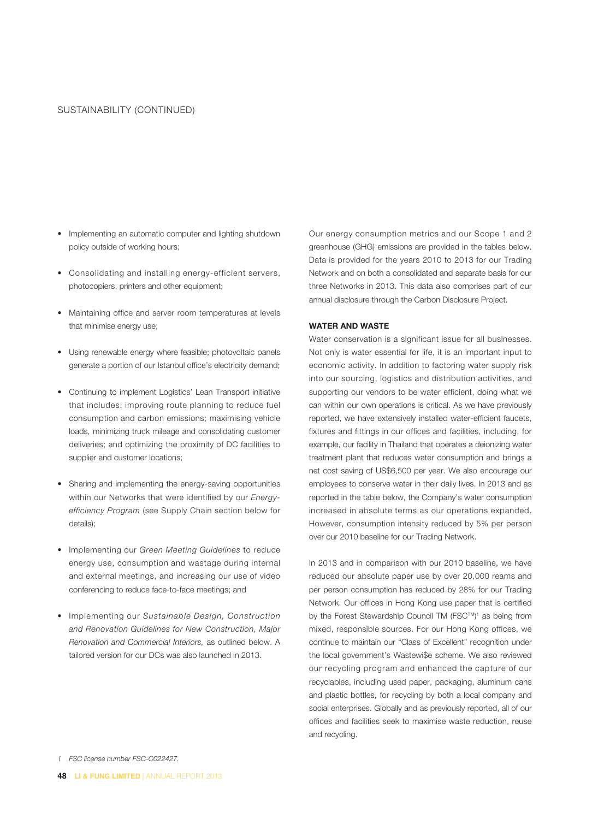- Implementing an automatic computer and lighting shutdown policy outside of working hours;
- Consolidating and installing energy-efficient servers, photocopiers, printers and other equipment;
- Maintaining office and server room temperatures at levels that minimise energy use;
- Using renewable energy where feasible; photovoltaic panels generate a portion of our Istanbul office's electricity demand;
- Continuing to implement Logistics' Lean Transport initiative that includes: improving route planning to reduce fuel consumption and carbon emissions; maximising vehicle loads, minimizing truck mileage and consolidating customer deliveries; and optimizing the proximity of DC facilities to supplier and customer locations;
- Sharing and implementing the energy-saving opportunities within our Networks that were identified by our Energyefficiency Program (see Supply Chain section below for details);
- Implementing our Green Meeting Guidelines to reduce energy use, consumption and wastage during internal and external meetings, and increasing our use of video conferencing to reduce face-to-face meetings; and
- Implementing our Sustainable Design, Construction and Renovation Guidelines for New Construction, Major Renovation and Commercial Interiors, as outlined below. A tailored version for our DCs was also launched in 2013.

Our energy consumption metrics and our Scope 1 and 2 greenhouse (GHG) emissions are provided in the tables below. Data is provided for the years 2010 to 2013 for our Trading Network and on both a consolidated and separate basis for our three Networks in 2013. This data also comprises part of our annual disclosure through the Carbon Disclosure Project.

#### **WATER AND WASTE**

Water conservation is a significant issue for all businesses. Not only is water essential for life, it is an important input to economic activity. In addition to factoring water supply risk into our sourcing, logistics and distribution activities, and supporting our vendors to be water efficient, doing what we can within our own operations is critical. As we have previously reported, we have extensively installed water-efficient faucets, fixtures and fittings in our offices and facilities, including, for example, our facility in Thailand that operates a deionizing water treatment plant that reduces water consumption and brings a net cost saving of US\$6,500 per year. We also encourage our employees to conserve water in their daily lives. In 2013 and as reported in the table below, the Company's water consumption increased in absolute terms as our operations expanded. However, consumption intensity reduced by 5% per person over our 2010 baseline for our Trading Network.

In 2013 and in comparison with our 2010 baseline, we have reduced our absolute paper use by over 20,000 reams and per person consumption has reduced by 28% for our Trading Network. Our offices in Hong Kong use paper that is certified by the Forest Stewardship Council TM (FSC™)<sup>1</sup> as being from mixed, responsible sources. For our Hong Kong offices, we continue to maintain our "Class of Excellent" recognition under the local government's Wastewi\$e scheme. We also reviewed our recycling program and enhanced the capture of our recyclables, including used paper, packaging, aluminum cans and plastic bottles, for recycling by both a local company and social enterprises. Globally and as previously reported, all of our offices and facilities seek to maximise waste reduction, reuse and recycling.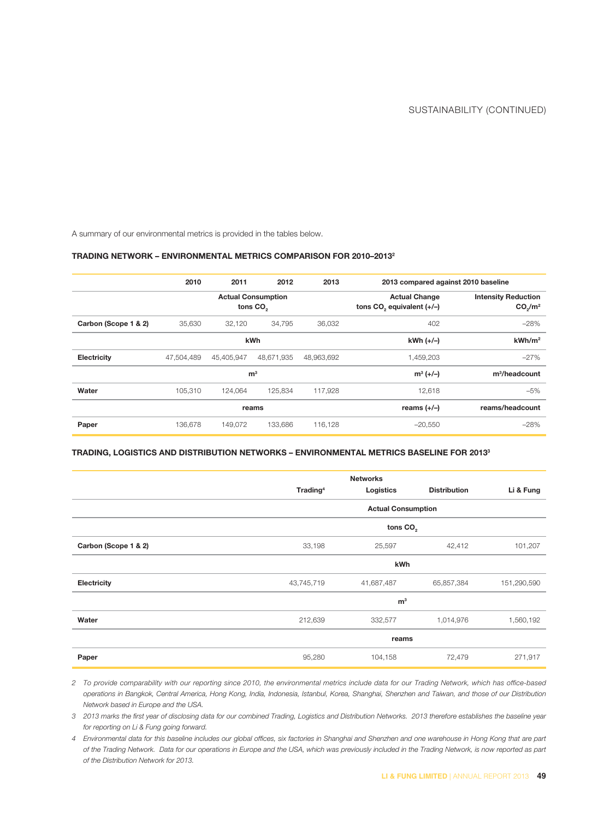A summary of our environmental metrics is provided in the tables below.

#### **TRADING NETWORK – ENVIRONMENTAL METRICS COMPARISON FOR 2010–20132**

|                      | 2010           | 2011                                              | 2012       | 2013       | 2013 compared against 2010 baseline                           |                                                               |  |
|----------------------|----------------|---------------------------------------------------|------------|------------|---------------------------------------------------------------|---------------------------------------------------------------|--|
|                      |                | <b>Actual Consumption</b><br>tons CO <sub>2</sub> |            |            | <b>Actual Change</b><br>tons CO <sub>2</sub> equivalent (+/-) | <b>Intensity Reduction</b><br>CO <sub>s</sub> /m <sup>2</sup> |  |
| Carbon (Scope 1 & 2) | 35,630         | 32,120                                            | 34,795     | 36,032     | 402                                                           | $-28%$                                                        |  |
|                      | kWh            |                                                   |            |            | $kWh (+/-)$                                                   | kWh/m <sup>2</sup>                                            |  |
| Electricity          | 47.504.489     | 45.405.947                                        | 48.671.935 | 48,963,692 | 1,459,203                                                     | $-27%$                                                        |  |
|                      | m <sup>3</sup> |                                                   |            |            | $m^3 (+/-)$                                                   | m <sup>3</sup> /headcount                                     |  |
| Water                | 105,310        | 124,064                                           | 125,834    | 117,928    | 12,618                                                        | $-5%$                                                         |  |
|                      | reams          |                                                   |            |            | reams $(+/-)$                                                 | reams/headcount                                               |  |
| Paper                | 136.678        | 149.072                                           | 133.686    | 116,128    | $-20.550$                                                     | $-28%$                                                        |  |

#### **TRADING, LOGISTICS AND DISTRIBUTION NETWORKS – ENVIRONMENTAL METRICS BASELINE FOR 20133**

|                      |                           | <b>Networks</b> |                     |             |  |  |
|----------------------|---------------------------|-----------------|---------------------|-------------|--|--|
|                      | Trading <sup>4</sup>      | Logistics       | <b>Distribution</b> | Li & Fung   |  |  |
|                      |                           |                 |                     |             |  |  |
|                      | <b>Actual Consumption</b> |                 |                     |             |  |  |
|                      | tons $CO2$                |                 |                     |             |  |  |
| Carbon (Scope 1 & 2) | 33,198                    | 25,597          | 42,412              | 101,207     |  |  |
|                      | kWh                       |                 |                     |             |  |  |
| Electricity          | 43,745,719                | 41,687,487      | 65,857,384          | 151,290,590 |  |  |
|                      | m <sup>3</sup>            |                 |                     |             |  |  |
| Water                | 212,639                   | 332,577         | 1,014,976           | 1,560,192   |  |  |
|                      | reams                     |                 |                     |             |  |  |
| Paper                | 95,280                    | 104,158         | 72,479              | 271,917     |  |  |

2 To provide comparability with our reporting since 2010, the environmental metrics include data for our Trading Network, which has office-based operations in Bangkok, Central America, Hong Kong, India, Indonesia, Istanbul, Korea, Shanghai, Shenzhen and Taiwan, and those of our Distribution Network based in Europe and the USA.

3 2013 marks the first year of disclosing data for our combined Trading, Logistics and Distribution Networks. 2013 therefore establishes the baseline year for reporting on Li & Fung going forward.

4 Environmental data for this baseline includes our global offices, six factories in Shanghai and Shenzhen and one warehouse in Hong Kong that are part of the Trading Network. Data for our operations in Europe and the USA, which was previously included in the Trading Network, is now reported as part of the Distribution Network for 2013.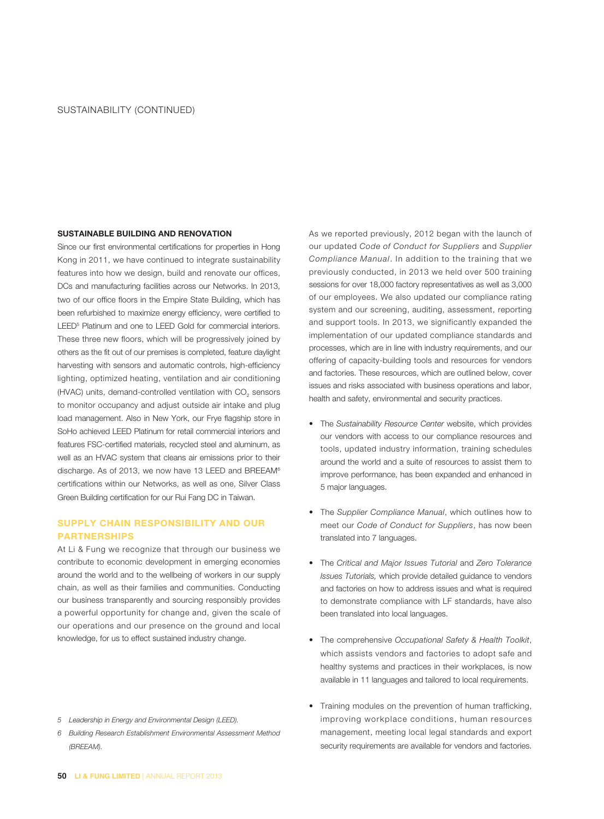# **SUSTAINABLE BUILDING AND RENOVATION**

Since our first environmental certifications for properties in Hong Kong in 2011, we have continued to integrate sustainability features into how we design, build and renovate our offices, DCs and manufacturing facilities across our Networks. In 2013, two of our office floors in the Empire State Building, which has been refurbished to maximize energy efficiency, were certified to LEED5 Platinum and one to LEED Gold for commercial interiors. These three new floors, which will be progressively joined by others as the fit out of our premises is completed, feature daylight harvesting with sensors and automatic controls, high-efficiency lighting, optimized heating, ventilation and air conditioning (HVAC) units, demand-controlled ventilation with CO<sub>2</sub> sensors to monitor occupancy and adjust outside air intake and plug load management. Also in New York, our Frye flagship store in SoHo achieved LEED Platinum for retail commercial interiors and features FSC-certified materials, recycled steel and aluminum, as well as an HVAC system that cleans air emissions prior to their discharge. As of 2013, we now have 13 LEED and BREEAM6 certifications within our Networks, as well as one, Silver Class Green Building certification for our Rui Fang DC in Taiwan.

# **SUPPLY CHAIN RESPONSIBILITY AND OUR PARTNERSHIPS**

At Li & Fung we recognize that through our business we contribute to economic development in emerging economies around the world and to the wellbeing of workers in our supply chain, as well as their families and communities. Conducting our business transparently and sourcing responsibly provides a powerful opportunity for change and, given the scale of our operations and our presence on the ground and local knowledge, for us to effect sustained industry change.

- 5 Leadership in Energy and Environmental Design (LEED).
- 6 Building Research Establishment Environmental Assessment Method (BREEAM).

As we reported previously, 2012 began with the launch of our updated Code of Conduct for Suppliers and Supplier Compliance Manual. In addition to the training that we previously conducted, in 2013 we held over 500 training sessions for over 18,000 factory representatives as well as 3,000 of our employees. We also updated our compliance rating system and our screening, auditing, assessment, reporting and support tools. In 2013, we significantly expanded the implementation of our updated compliance standards and processes, which are in line with industry requirements, and our offering of capacity-building tools and resources for vendors and factories. These resources, which are outlined below, cover issues and risks associated with business operations and labor, health and safety, environmental and security practices.

- The Sustainability Resource Center website, which provides our vendors with access to our compliance resources and tools, updated industry information, training schedules around the world and a suite of resources to assist them to improve performance, has been expanded and enhanced in 5 major languages.
- The Supplier Compliance Manual, which outlines how to meet our Code of Conduct for Suppliers, has now been translated into 7 languages.
- The Critical and Major Issues Tutorial and Zero Tolerance Issues Tutorials, which provide detailed guidance to vendors and factories on how to address issues and what is required to demonstrate compliance with LF standards, have also been translated into local languages.
- The comprehensive Occupational Safety & Health Toolkit, which assists vendors and factories to adopt safe and healthy systems and practices in their workplaces, is now available in 11 languages and tailored to local requirements.
- Training modules on the prevention of human trafficking, improving workplace conditions, human resources management, meeting local legal standards and export security requirements are available for vendors and factories.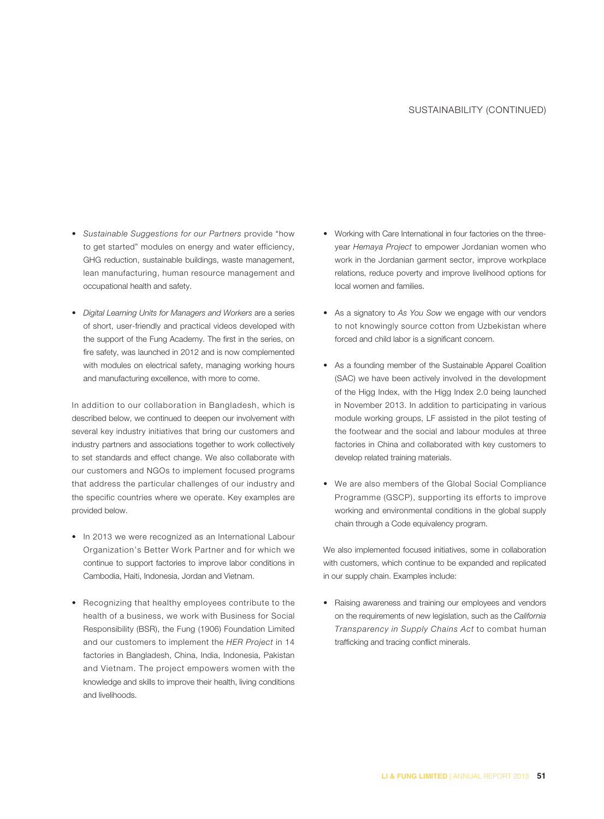- Sustainable Suggestions for our Partners provide "how to get started" modules on energy and water efficiency, GHG reduction, sustainable buildings, waste management, lean manufacturing, human resource management and occupational health and safety.
- Digital Learning Units for Managers and Workers are a series of short, user-friendly and practical videos developed with the support of the Fung Academy. The first in the series, on fire safety, was launched in 2012 and is now complemented with modules on electrical safety, managing working hours and manufacturing excellence, with more to come.

In addition to our collaboration in Bangladesh, which is described below, we continued to deepen our involvement with several key industry initiatives that bring our customers and industry partners and associations together to work collectively to set standards and effect change. We also collaborate with our customers and NGOs to implement focused programs that address the particular challenges of our industry and the specific countries where we operate. Key examples are provided below.

- In 2013 we were recognized as an International Labour Organization's Better Work Partner and for which we continue to support factories to improve labor conditions in Cambodia, Haiti, Indonesia, Jordan and Vietnam.
- Recognizing that healthy employees contribute to the health of a business, we work with Business for Social Responsibility (BSR), the Fung (1906) Foundation Limited and our customers to implement the HER Project in 14 factories in Bangladesh, China, India, Indonesia, Pakistan and Vietnam. The project empowers women with the knowledge and skills to improve their health, living conditions and livelihoods.
- Working with Care International in four factories on the threeyear Hemaya Project to empower Jordanian women who work in the Jordanian garment sector, improve workplace relations, reduce poverty and improve livelihood options for local women and families.
- As a signatory to As You Sow we engage with our vendors to not knowingly source cotton from Uzbekistan where forced and child labor is a significant concern.
- As a founding member of the Sustainable Apparel Coalition (SAC) we have been actively involved in the development of the Higg Index, with the Higg Index 2.0 being launched in November 2013. In addition to participating in various module working groups, LF assisted in the pilot testing of the footwear and the social and labour modules at three factories in China and collaborated with key customers to develop related training materials.
- We are also members of the Global Social Compliance Programme (GSCP), supporting its efforts to improve working and environmental conditions in the global supply chain through a Code equivalency program.

We also implemented focused initiatives, some in collaboration with customers, which continue to be expanded and replicated in our supply chain. Examples include:

• Raising awareness and training our employees and vendors on the requirements of new legislation, such as the California Transparency in Supply Chains Act to combat human trafficking and tracing conflict minerals.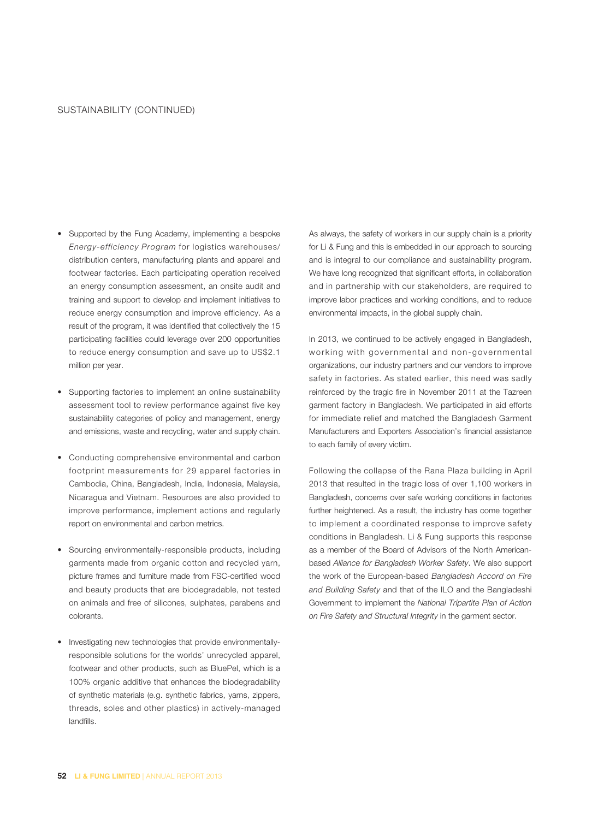- Supported by the Fung Academy, implementing a bespoke Energy-efficiency Program for logistics warehouses/ distribution centers, manufacturing plants and apparel and footwear factories. Each participating operation received an energy consumption assessment, an onsite audit and training and support to develop and implement initiatives to reduce energy consumption and improve efficiency. As a result of the program, it was identified that collectively the 15 participating facilities could leverage over 200 opportunities to reduce energy consumption and save up to US\$2.1 million per year.
- Supporting factories to implement an online sustainability assessment tool to review performance against five key sustainability categories of policy and management, energy and emissions, waste and recycling, water and supply chain.
- Conducting comprehensive environmental and carbon footprint measurements for 29 apparel factories in Cambodia, China, Bangladesh, India, Indonesia, Malaysia, Nicaragua and Vietnam. Resources are also provided to improve performance, implement actions and regularly report on environmental and carbon metrics.
- Sourcing environmentally-responsible products, including garments made from organic cotton and recycled yarn, picture frames and furniture made from FSC-certified wood and beauty products that are biodegradable, not tested on animals and free of silicones, sulphates, parabens and colorants.
- Investigating new technologies that provide environmentallyresponsible solutions for the worlds' unrecycled apparel, footwear and other products, such as BluePel, which is a 100% organic additive that enhances the biodegradability of synthetic materials (e.g. synthetic fabrics, yarns, zippers, threads, soles and other plastics) in actively-managed landfills.

As always, the safety of workers in our supply chain is a priority for Li & Fung and this is embedded in our approach to sourcing and is integral to our compliance and sustainability program. We have long recognized that significant efforts, in collaboration and in partnership with our stakeholders, are required to improve labor practices and working conditions, and to reduce environmental impacts, in the global supply chain.

In 2013, we continued to be actively engaged in Bangladesh, working with governmental and non-governmental organizations, our industry partners and our vendors to improve safety in factories. As stated earlier, this need was sadly reinforced by the tragic fire in November 2011 at the Tazreen garment factory in Bangladesh. We participated in aid efforts for immediate relief and matched the Bangladesh Garment Manufacturers and Exporters Association's financial assistance to each family of every victim.

Following the collapse of the Rana Plaza building in April 2013 that resulted in the tragic loss of over 1,100 workers in Bangladesh, concerns over safe working conditions in factories further heightened. As a result, the industry has come together to implement a coordinated response to improve safety conditions in Bangladesh. Li & Fung supports this response as a member of the Board of Advisors of the North Americanbased Alliance for Bangladesh Worker Safety. We also support the work of the European-based Bangladesh Accord on Fire and Building Safety and that of the ILO and the Bangladeshi Government to implement the National Tripartite Plan of Action on Fire Safety and Structural Integrity in the garment sector.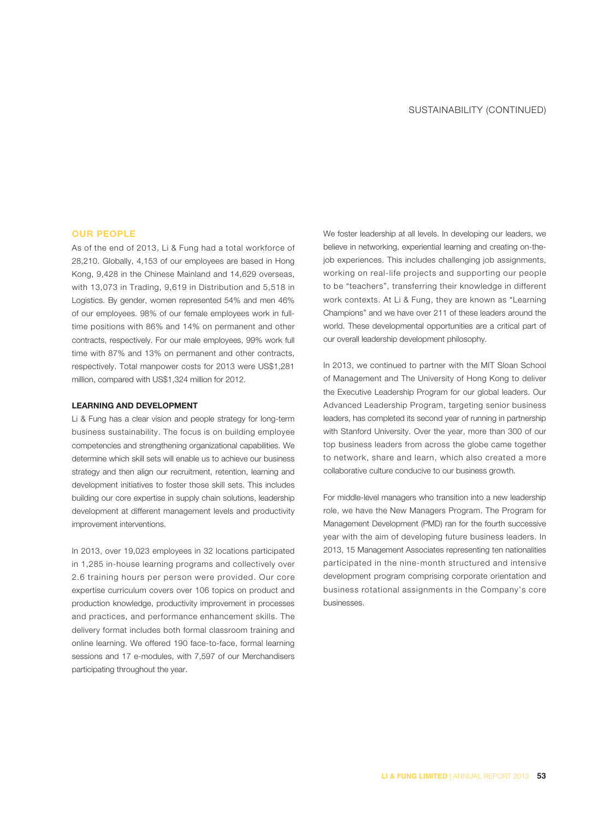#### **OUR PEOPLE**

As of the end of 2013, Li & Fung had a total workforce of 28,210. Globally, 4,153 of our employees are based in Hong Kong, 9,428 in the Chinese Mainland and 14,629 overseas, with 13,073 in Trading, 9,619 in Distribution and 5,518 in Logistics. By gender, women represented 54% and men 46% of our employees. 98% of our female employees work in fulltime positions with 86% and 14% on permanent and other contracts, respectively. For our male employees, 99% work full time with 87% and 13% on permanent and other contracts, respectively. Total manpower costs for 2013 were US\$1,281 million, compared with US\$1,324 million for 2012.

## **LEARNING AND DEVELOPMENT**

Li & Fung has a clear vision and people strategy for long-term business sustainability. The focus is on building employee competencies and strengthening organizational capabilities. We determine which skill sets will enable us to achieve our business strategy and then align our recruitment, retention, learning and development initiatives to foster those skill sets. This includes building our core expertise in supply chain solutions, leadership development at different management levels and productivity improvement interventions.

In 2013, over 19,023 employees in 32 locations participated in 1,285 in-house learning programs and collectively over 2.6 training hours per person were provided. Our core expertise curriculum covers over 106 topics on product and production knowledge, productivity improvement in processes and practices, and performance enhancement skills. The delivery format includes both formal classroom training and online learning. We offered 190 face-to-face, formal learning sessions and 17 e-modules, with 7,597 of our Merchandisers participating throughout the year.

We foster leadership at all levels. In developing our leaders, we believe in networking, experiential learning and creating on-thejob experiences. This includes challenging job assignments, working on real-life projects and supporting our people to be "teachers", transferring their knowledge in different work contexts. At Li & Fung, they are known as "Learning Champions" and we have over 211 of these leaders around the world. These developmental opportunities are a critical part of our overall leadership development philosophy.

In 2013, we continued to partner with the MIT Sloan School of Management and The University of Hong Kong to deliver the Executive Leadership Program for our global leaders. Our Advanced Leadership Program, targeting senior business leaders, has completed its second year of running in partnership with Stanford University. Over the year, more than 300 of our top business leaders from across the globe came together to network, share and learn, which also created a more collaborative culture conducive to our business growth.

For middle-level managers who transition into a new leadership role, we have the New Managers Program. The Program for Management Development (PMD) ran for the fourth successive year with the aim of developing future business leaders. In 2013, 15 Management Associates representing ten nationalities participated in the nine-month structured and intensive development program comprising corporate orientation and business rotational assignments in the Company's core businesses.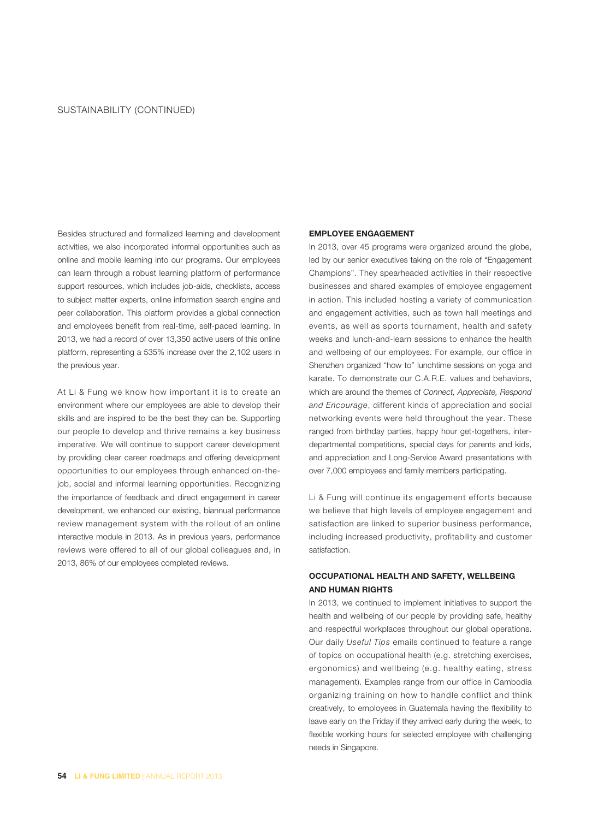Besides structured and formalized learning and development activities, we also incorporated informal opportunities such as online and mobile learning into our programs. Our employees can learn through a robust learning platform of performance support resources, which includes job-aids, checklists, access to subject matter experts, online information search engine and peer collaboration. This platform provides a global connection and employees benefit from real-time, self-paced learning. In 2013, we had a record of over 13,350 active users of this online platform, representing a 535% increase over the 2,102 users in the previous year.

At Li & Fung we know how important it is to create an environment where our employees are able to develop their skills and are inspired to be the best they can be. Supporting our people to develop and thrive remains a key business imperative. We will continue to support career development by providing clear career roadmaps and offering development opportunities to our employees through enhanced on-thejob, social and informal learning opportunities. Recognizing the importance of feedback and direct engagement in career development, we enhanced our existing, biannual performance review management system with the rollout of an online interactive module in 2013. As in previous years, performance reviews were offered to all of our global colleagues and, in 2013, 86% of our employees completed reviews.

## **EMPLOYEE ENGAGEMENT**

In 2013, over 45 programs were organized around the globe, led by our senior executives taking on the role of "Engagement Champions". They spearheaded activities in their respective businesses and shared examples of employee engagement in action. This included hosting a variety of communication and engagement activities, such as town hall meetings and events, as well as sports tournament, health and safety weeks and lunch-and-learn sessions to enhance the health and wellbeing of our employees. For example, our office in Shenzhen organized "how to" lunchtime sessions on yoga and karate. To demonstrate our C.A.R.E. values and behaviors, which are around the themes of Connect, Appreciate, Respond and Encourage, different kinds of appreciation and social networking events were held throughout the year. These ranged from birthday parties, happy hour get-togethers, interdepartmental competitions, special days for parents and kids, and appreciation and Long-Service Award presentations with over 7,000 employees and family members participating.

Li & Fung will continue its engagement efforts because we believe that high levels of employee engagement and satisfaction are linked to superior business performance, including increased productivity, profitability and customer satisfaction.

# **OCCUPATIONAL HEALTH AND SAFETY, WELLBEING AND HUMAN RIGHTS**

In 2013, we continued to implement initiatives to support the health and wellbeing of our people by providing safe, healthy and respectful workplaces throughout our global operations. Our daily Useful Tips emails continued to feature a range of topics on occupational health (e.g. stretching exercises, ergonomics) and wellbeing (e.g. healthy eating, stress management). Examples range from our office in Cambodia organizing training on how to handle conflict and think creatively, to employees in Guatemala having the flexibility to leave early on the Friday if they arrived early during the week, to flexible working hours for selected employee with challenging needs in Singapore.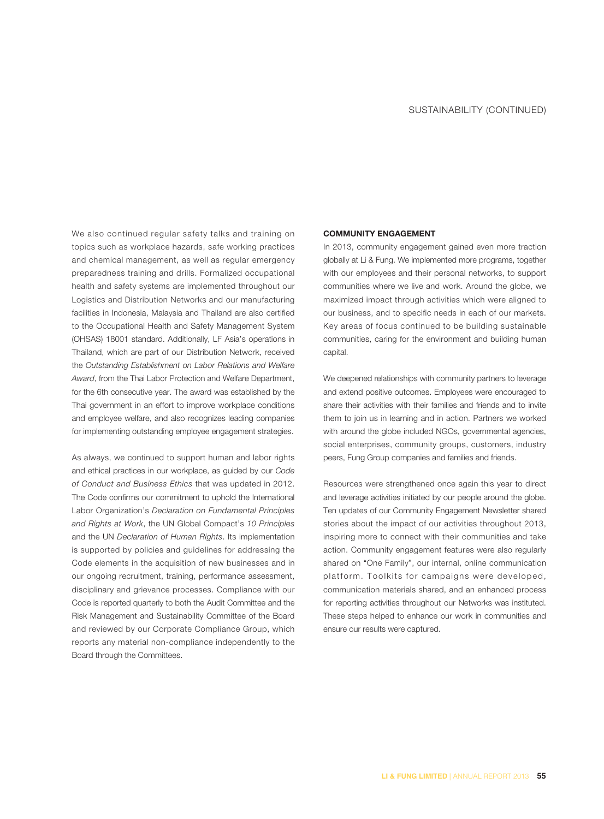We also continued regular safety talks and training on topics such as workplace hazards, safe working practices and chemical management, as well as regular emergency preparedness training and drills. Formalized occupational health and safety systems are implemented throughout our Logistics and Distribution Networks and our manufacturing facilities in Indonesia, Malaysia and Thailand are also certified to the Occupational Health and Safety Management System (OHSAS) 18001 standard. Additionally, LF Asia's operations in Thailand, which are part of our Distribution Network, received the Outstanding Establishment on Labor Relations and Welfare Award, from the Thai Labor Protection and Welfare Department, for the 6th consecutive year. The award was established by the Thai government in an effort to improve workplace conditions and employee welfare, and also recognizes leading companies for implementing outstanding employee engagement strategies.

As always, we continued to support human and labor rights and ethical practices in our workplace, as guided by our Code of Conduct and Business Ethics that was updated in 2012. The Code confirms our commitment to uphold the International Labor Organization's Declaration on Fundamental Principles and Rights at Work, the UN Global Compact's 10 Principles and the UN Declaration of Human Rights. Its implementation is supported by policies and guidelines for addressing the Code elements in the acquisition of new businesses and in our ongoing recruitment, training, performance assessment, disciplinary and grievance processes. Compliance with our Code is reported quarterly to both the Audit Committee and the Risk Management and Sustainability Committee of the Board and reviewed by our Corporate Compliance Group, which reports any material non-compliance independently to the Board through the Committees.

#### **COMMUNITY ENGAGEMENT**

In 2013, community engagement gained even more traction globally at Li & Fung. We implemented more programs, together with our employees and their personal networks, to support communities where we live and work. Around the globe, we maximized impact through activities which were aligned to our business, and to specific needs in each of our markets. Key areas of focus continued to be building sustainable communities, caring for the environment and building human capital.

We deepened relationships with community partners to leverage and extend positive outcomes. Employees were encouraged to share their activities with their families and friends and to invite them to join us in learning and in action. Partners we worked with around the globe included NGOs, governmental agencies, social enterprises, community groups, customers, industry peers, Fung Group companies and families and friends.

Resources were strengthened once again this year to direct and leverage activities initiated by our people around the globe. Ten updates of our Community Engagement Newsletter shared stories about the impact of our activities throughout 2013, inspiring more to connect with their communities and take action. Community engagement features were also regularly shared on "One Family", our internal, online communication platform. Toolkits for campaigns were developed, communication materials shared, and an enhanced process for reporting activities throughout our Networks was instituted. These steps helped to enhance our work in communities and ensure our results were captured.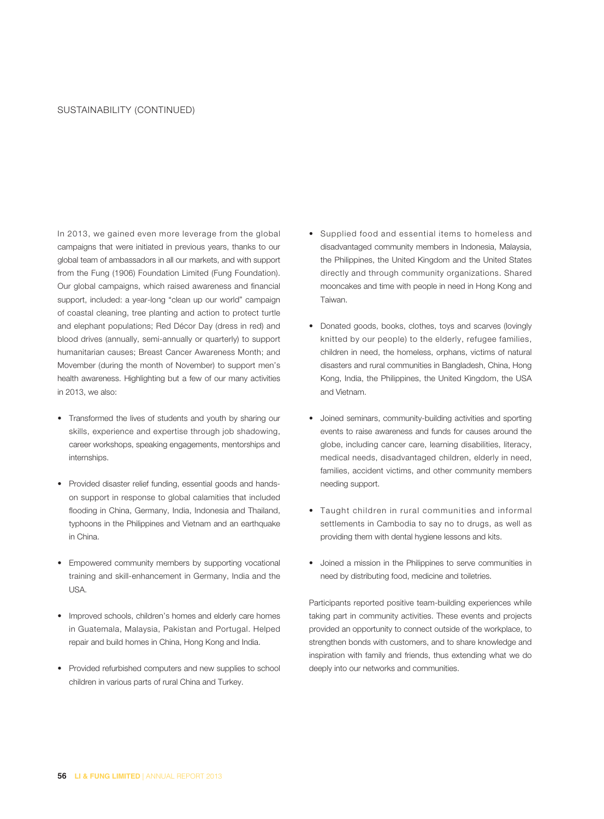In 2013, we gained even more leverage from the global campaigns that were initiated in previous years, thanks to our global team of ambassadors in all our markets, and with support from the Fung (1906) Foundation Limited (Fung Foundation). Our global campaigns, which raised awareness and financial support, included: a year-long "clean up our world" campaign of coastal cleaning, tree planting and action to protect turtle and elephant populations; Red Décor Day (dress in red) and blood drives (annually, semi-annually or quarterly) to support humanitarian causes; Breast Cancer Awareness Month; and Movember (during the month of November) to support men's health awareness. Highlighting but a few of our many activities in 2013, we also:

- Transformed the lives of students and youth by sharing our skills, experience and expertise through job shadowing, career workshops, speaking engagements, mentorships and internships.
- Provided disaster relief funding, essential goods and handson support in response to global calamities that included flooding in China, Germany, India, Indonesia and Thailand, typhoons in the Philippines and Vietnam and an earthquake in China.
- Empowered community members by supporting vocational training and skill-enhancement in Germany, India and the USA.
- Improved schools, children's homes and elderly care homes in Guatemala, Malaysia, Pakistan and Portugal. Helped repair and build homes in China, Hong Kong and India.
- Provided refurbished computers and new supplies to school children in various parts of rural China and Turkey.
- Supplied food and essential items to homeless and disadvantaged community members in Indonesia, Malaysia, the Philippines, the United Kingdom and the United States directly and through community organizations. Shared mooncakes and time with people in need in Hong Kong and Taiwan.
- Donated goods, books, clothes, toys and scarves (lovingly knitted by our people) to the elderly, refugee families, children in need, the homeless, orphans, victims of natural disasters and rural communities in Bangladesh, China, Hong Kong, India, the Philippines, the United Kingdom, the USA and Vietnam.
- Joined seminars, community-building activities and sporting events to raise awareness and funds for causes around the globe, including cancer care, learning disabilities, literacy, medical needs, disadvantaged children, elderly in need, families, accident victims, and other community members needing support.
- Taught children in rural communities and informal settlements in Cambodia to say no to drugs, as well as providing them with dental hygiene lessons and kits.
- Joined a mission in the Philippines to serve communities in need by distributing food, medicine and toiletries.

Participants reported positive team-building experiences while taking part in community activities. These events and projects provided an opportunity to connect outside of the workplace, to strengthen bonds with customers, and to share knowledge and inspiration with family and friends, thus extending what we do deeply into our networks and communities.